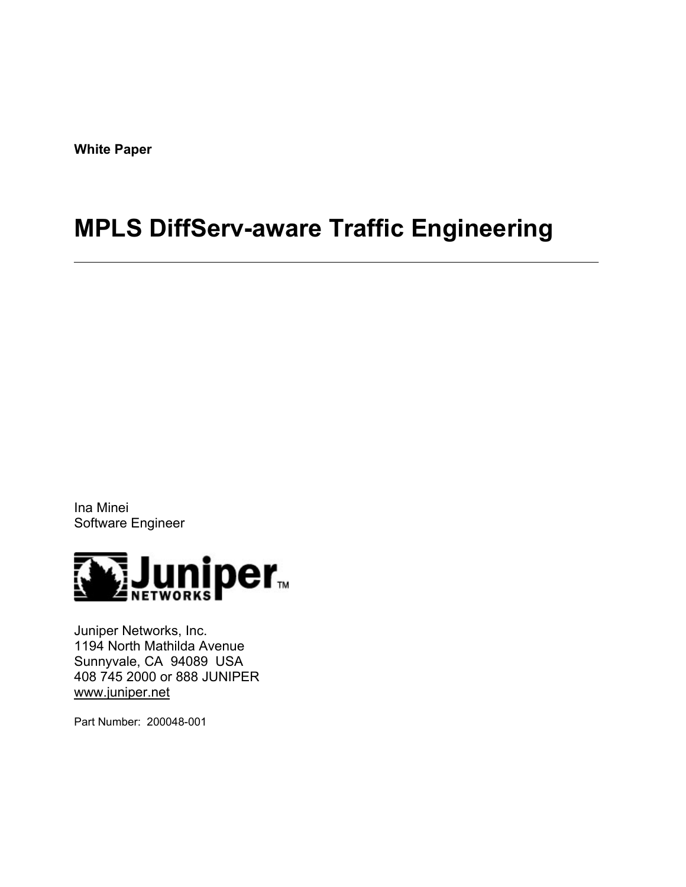**White Paper** 

# **MPLS DiffServ-aware Traffic Engineering**

Ina Minei Software Engineer



Juniper Networks, Inc. 1194 North Mathilda Avenue Sunnyvale, CA 94089 USA 408 745 2000 or 888 JUNIPER www.juniper.net

Part Number: 200048-001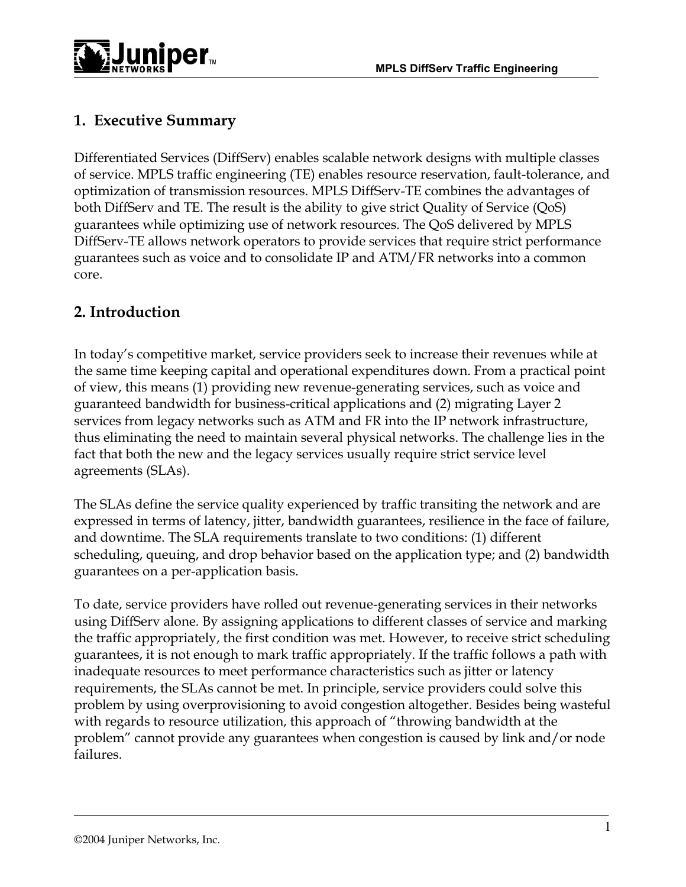

# **1. Executive Summary**

Differentiated Services (DiffServ) enables scalable network designs with multiple classes of service. MPLS traffic engineering (TE) enables resource reservation, fault-tolerance, and optimization of transmission resources. MPLS DiffServ-TE combines the advantages of both DiffServ and TE. The result is the ability to give strict Quality of Service (QoS) guarantees while optimizing use of network resources. The QoS delivered by MPLS DiffServ-TE allows network operators to provide services that require strict performance guarantees such as voice and to consolidate IP and ATM/FR networks into a common core.

# **2. Introduction**

In today's competitive market, service providers seek to increase their revenues while at the same time keeping capital and operational expenditures down. From a practical point of view, this means (1) providing new revenue-generating services, such as voice and guaranteed bandwidth for business-critical applications and (2) migrating Layer 2 services from legacy networks such as ATM and FR into the IP network infrastructure, thus eliminating the need to maintain several physical networks. The challenge lies in the fact that both the new and the legacy services usually require strict service level agreements (SLAs).

The SLAs define the service quality experienced by traffic transiting the network and are expressed in terms of latency, jitter, bandwidth guarantees, resilience in the face of failure, and downtime. The SLA requirements translate to two conditions: (1) different scheduling, queuing, and drop behavior based on the application type; and (2) bandwidth guarantees on a per-application basis.

To date, service providers have rolled out revenue-generating services in their networks using DiffServ alone. By assigning applications to different classes of service and marking the traffic appropriately, the first condition was met. However, to receive strict scheduling guarantees, it is not enough to mark traffic appropriately. If the traffic follows a path with inadequate resources to meet performance characteristics such as jitter or latency requirements, the SLAs cannot be met. In principle, service providers could solve this problem by using overprovisioning to avoid congestion altogether. Besides being wasteful with regards to resource utilization, this approach of "throwing bandwidth at the problem" cannot provide any guarantees when congestion is caused by link and/or node failures.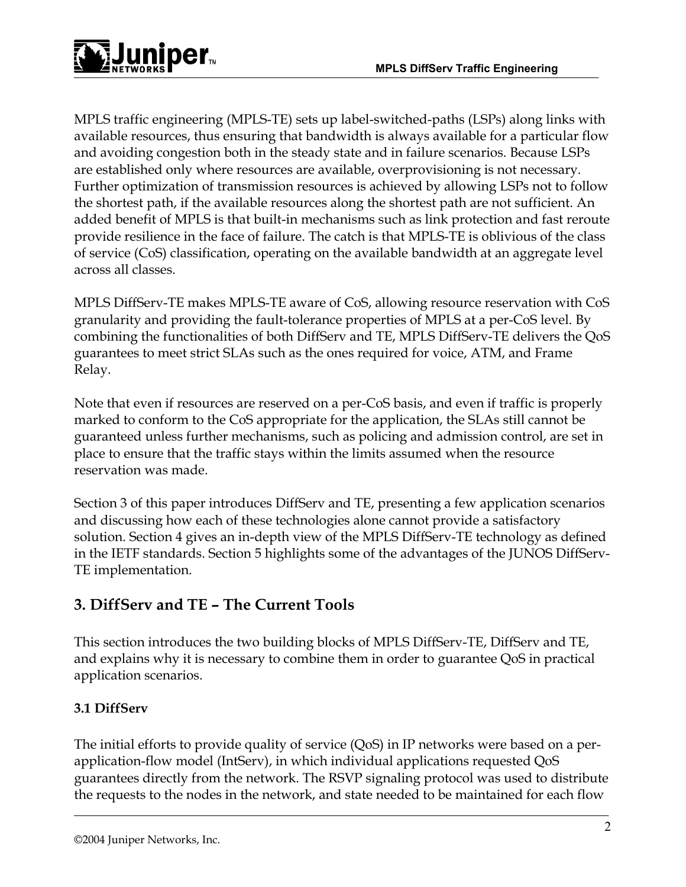

MPLS traffic engineering (MPLS-TE) sets up label-switched-paths (LSPs) along links with available resources, thus ensuring that bandwidth is always available for a particular flow and avoiding congestion both in the steady state and in failure scenarios. Because LSPs are established only where resources are available, overprovisioning is not necessary. Further optimization of transmission resources is achieved by allowing LSPs not to follow the shortest path, if the available resources along the shortest path are not sufficient. An added benefit of MPLS is that built-in mechanisms such as link protection and fast reroute provide resilience in the face of failure. The catch is that MPLS-TE is oblivious of the class of service (CoS) classification, operating on the available bandwidth at an aggregate level across all classes.

MPLS DiffServ-TE makes MPLS-TE aware of CoS, allowing resource reservation with CoS granularity and providing the fault-tolerance properties of MPLS at a per-CoS level. By combining the functionalities of both DiffServ and TE, MPLS DiffServ-TE delivers the QoS guarantees to meet strict SLAs such as the ones required for voice, ATM, and Frame Relay.

Note that even if resources are reserved on a per-CoS basis, and even if traffic is properly marked to conform to the CoS appropriate for the application, the SLAs still cannot be guaranteed unless further mechanisms, such as policing and admission control, are set in place to ensure that the traffic stays within the limits assumed when the resource reservation was made.

Section 3 of this paper introduces DiffServ and TE, presenting a few application scenarios and discussing how each of these technologies alone cannot provide a satisfactory solution. Section 4 gives an in-depth view of the MPLS DiffServ-TE technology as defined in the IETF standards. Section 5 highlights some of the advantages of the JUNOS DiffServ-TE implementation.

# **3. DiffServ and TE – The Current Tools**

This section introduces the two building blocks of MPLS DiffServ-TE, DiffServ and TE, and explains why it is necessary to combine them in order to guarantee QoS in practical application scenarios.

## **3.1 DiffServ**

The initial efforts to provide quality of service (QoS) in IP networks were based on a perapplication-flow model (IntServ), in which individual applications requested QoS guarantees directly from the network. The RSVP signaling protocol was used to distribute the requests to the nodes in the network, and state needed to be maintained for each flow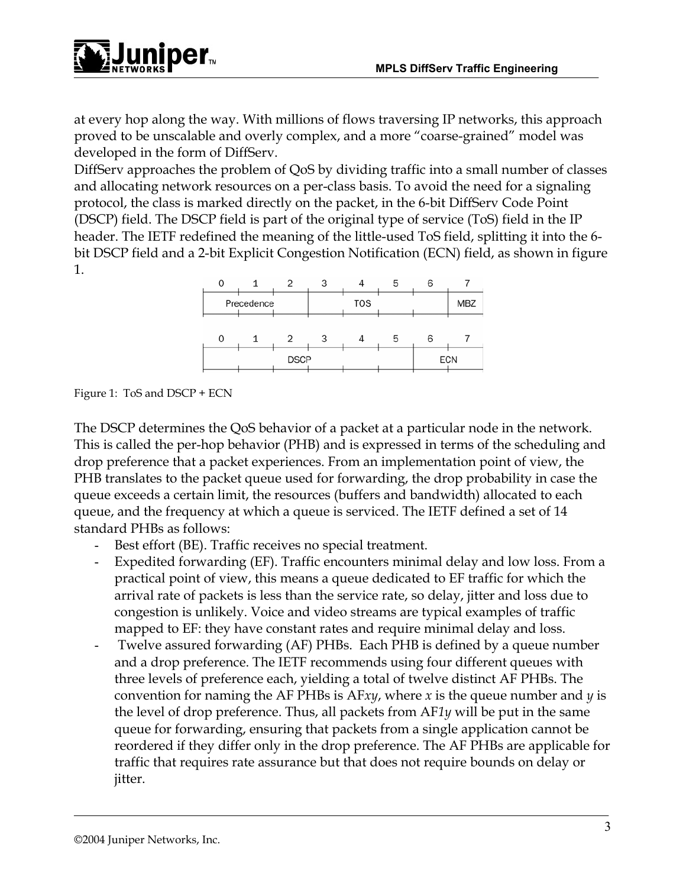

at every hop along the way. With millions of flows traversing IP networks, this approach proved to be unscalable and overly complex, and a more "coarse-grained" model was developed in the form of DiffServ.

DiffServ approaches the problem of QoS by dividing traffic into a small number of classes and allocating network resources on a per-class basis. To avoid the need for a signaling protocol, the class is marked directly on the packet, in the 6-bit DiffServ Code Point (DSCP) field. The DSCP field is part of the original type of service (ToS) field in the IP header. The IETF redefined the meaning of the little-used ToS field, splitting it into the 6 bit DSCP field and a 2-bit Explicit Congestion Notification (ECN) field, as shown in figure 1.



Figure 1: ToS and DSCP + ECN

The DSCP determines the QoS behavior of a packet at a particular node in the network. This is called the per-hop behavior (PHB) and is expressed in terms of the scheduling and drop preference that a packet experiences. From an implementation point of view, the PHB translates to the packet queue used for forwarding, the drop probability in case the queue exceeds a certain limit, the resources (buffers and bandwidth) allocated to each queue, and the frequency at which a queue is serviced. The IETF defined a set of 14 standard PHBs as follows:

- Best effort (BE). Traffic receives no special treatment.
- Expedited forwarding (EF). Traffic encounters minimal delay and low loss. From a practical point of view, this means a queue dedicated to EF traffic for which the arrival rate of packets is less than the service rate, so delay, jitter and loss due to congestion is unlikely. Voice and video streams are typical examples of traffic mapped to EF: they have constant rates and require minimal delay and loss.
- Twelve assured forwarding (AF) PHBs. Each PHB is defined by a queue number and a drop preference. The IETF recommends using four different queues with three levels of preference each, yielding a total of twelve distinct AF PHBs. The convention for naming the AF PHBs is AF*xy*, where *x* is the queue number and *y* is the level of drop preference. Thus, all packets from AF*1y* will be put in the same queue for forwarding, ensuring that packets from a single application cannot be reordered if they differ only in the drop preference. The AF PHBs are applicable for traffic that requires rate assurance but that does not require bounds on delay or jitter.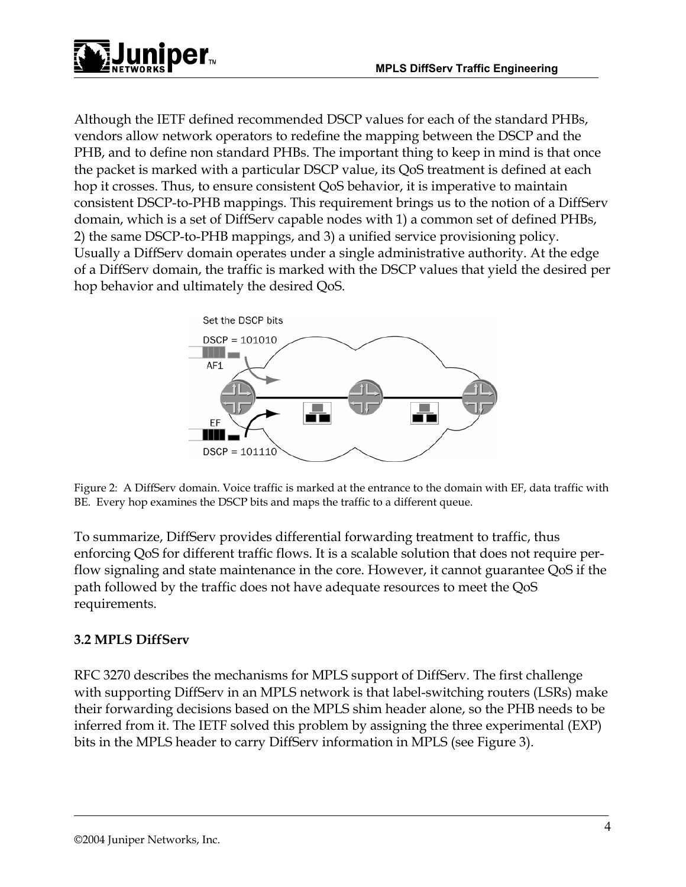

Although the IETF defined recommended DSCP values for each of the standard PHBs, vendors allow network operators to redefine the mapping between the DSCP and the PHB, and to define non standard PHBs. The important thing to keep in mind is that once the packet is marked with a particular DSCP value, its QoS treatment is defined at each hop it crosses. Thus, to ensure consistent QoS behavior, it is imperative to maintain consistent DSCP-to-PHB mappings. This requirement brings us to the notion of a DiffServ domain, which is a set of DiffServ capable nodes with 1) a common set of defined PHBs, 2) the same DSCP-to-PHB mappings, and 3) a unified service provisioning policy. Usually a DiffServ domain operates under a single administrative authority. At the edge of a DiffServ domain, the traffic is marked with the DSCP values that yield the desired per hop behavior and ultimately the desired QoS.



Figure 2: A DiffServ domain. Voice traffic is marked at the entrance to the domain with EF, data traffic with BE. Every hop examines the DSCP bits and maps the traffic to a different queue.

To summarize, DiffServ provides differential forwarding treatment to traffic, thus enforcing QoS for different traffic flows. It is a scalable solution that does not require perflow signaling and state maintenance in the core. However, it cannot guarantee QoS if the path followed by the traffic does not have adequate resources to meet the QoS requirements.

### **3.2 MPLS DiffServ**

RFC 3270 describes the mechanisms for MPLS support of DiffServ. The first challenge with supporting DiffServ in an MPLS network is that label-switching routers (LSRs) make their forwarding decisions based on the MPLS shim header alone, so the PHB needs to be inferred from it. The IETF solved this problem by assigning the three experimental (EXP) bits in the MPLS header to carry DiffServ information in MPLS (see Figure 3).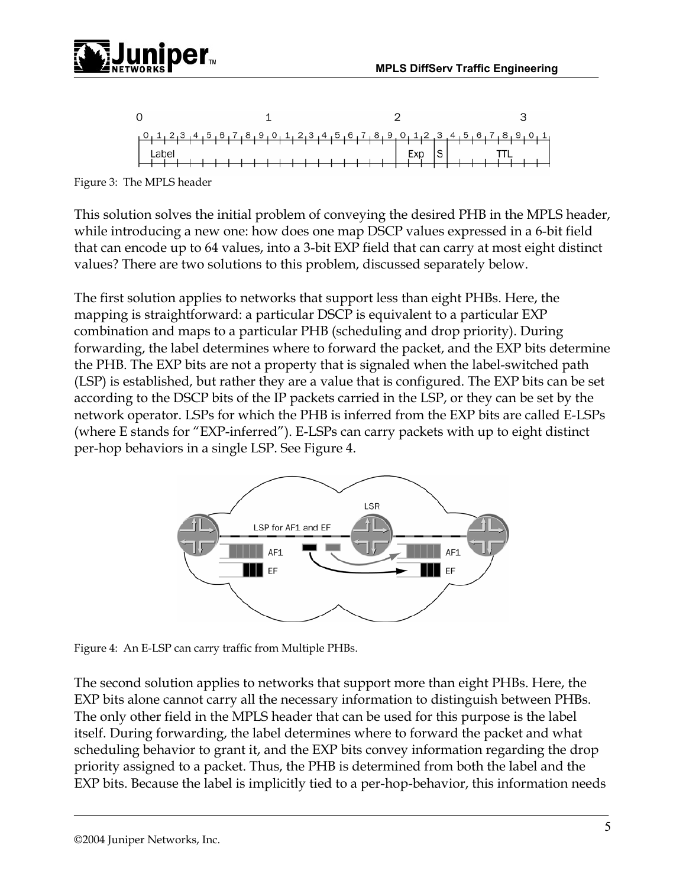



Figure 3: The MPLS header

This solution solves the initial problem of conveying the desired PHB in the MPLS header, while introducing a new one: how does one map DSCP values expressed in a 6-bit field that can encode up to 64 values, into a 3-bit EXP field that can carry at most eight distinct values? There are two solutions to this problem, discussed separately below.

The first solution applies to networks that support less than eight PHBs. Here, the mapping is straightforward: a particular DSCP is equivalent to a particular EXP combination and maps to a particular PHB (scheduling and drop priority). During forwarding, the label determines where to forward the packet, and the EXP bits determine the PHB. The EXP bits are not a property that is signaled when the label-switched path (LSP) is established, but rather they are a value that is configured. The EXP bits can be set according to the DSCP bits of the IP packets carried in the LSP, or they can be set by the network operator. LSPs for which the PHB is inferred from the EXP bits are called E-LSPs (where E stands for "EXP-inferred"). E-LSPs can carry packets with up to eight distinct per-hop behaviors in a single LSP. See Figure 4.



Figure 4: An E-LSP can carry traffic from Multiple PHBs.

The second solution applies to networks that support more than eight PHBs. Here, the EXP bits alone cannot carry all the necessary information to distinguish between PHBs. The only other field in the MPLS header that can be used for this purpose is the label itself. During forwarding, the label determines where to forward the packet and what scheduling behavior to grant it, and the EXP bits convey information regarding the drop priority assigned to a packet. Thus, the PHB is determined from both the label and the EXP bits. Because the label is implicitly tied to a per-hop-behavior, this information needs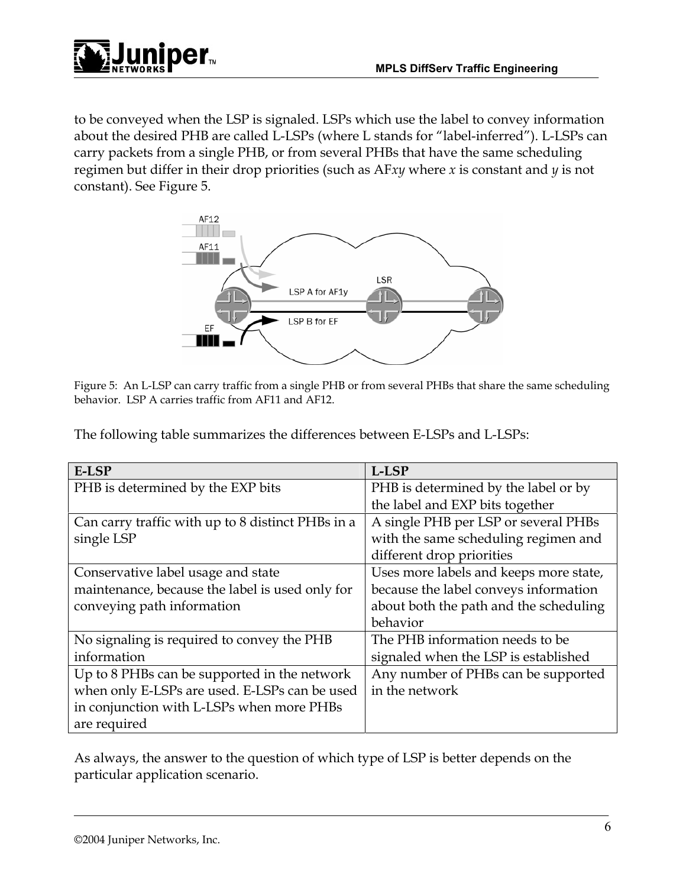

to be conveyed when the LSP is signaled. LSPs which use the label to convey information about the desired PHB are called L-LSPs (where L stands for "label-inferred"). L-LSPs can carry packets from a single PHB, or from several PHBs that have the same scheduling regimen but differ in their drop priorities (such as AF*xy* where *x* is constant and *y* is not constant). See Figure 5.



Figure 5: An L-LSP can carry traffic from a single PHB or from several PHBs that share the same scheduling behavior. LSP A carries traffic from AF11 and AF12.

The following table summarizes the differences between E-LSPs and L-LSPs:

| E-LSP                                             | L-LSP                                  |
|---------------------------------------------------|----------------------------------------|
| PHB is determined by the EXP bits                 | PHB is determined by the label or by   |
|                                                   | the label and EXP bits together        |
| Can carry traffic with up to 8 distinct PHBs in a | A single PHB per LSP or several PHBs   |
| single LSP                                        | with the same scheduling regimen and   |
|                                                   | different drop priorities              |
| Conservative label usage and state                | Uses more labels and keeps more state, |
| maintenance, because the label is used only for   | because the label conveys information  |
| conveying path information                        | about both the path and the scheduling |
|                                                   | behavior                               |
| No signaling is required to convey the PHB        | The PHB information needs to be        |
| information                                       | signaled when the LSP is established   |
| Up to 8 PHBs can be supported in the network      | Any number of PHBs can be supported    |
| when only E-LSPs are used. E-LSPs can be used     | in the network                         |
| in conjunction with L-LSPs when more PHBs         |                                        |
| are required                                      |                                        |

As always, the answer to the question of which type of LSP is better depends on the particular application scenario.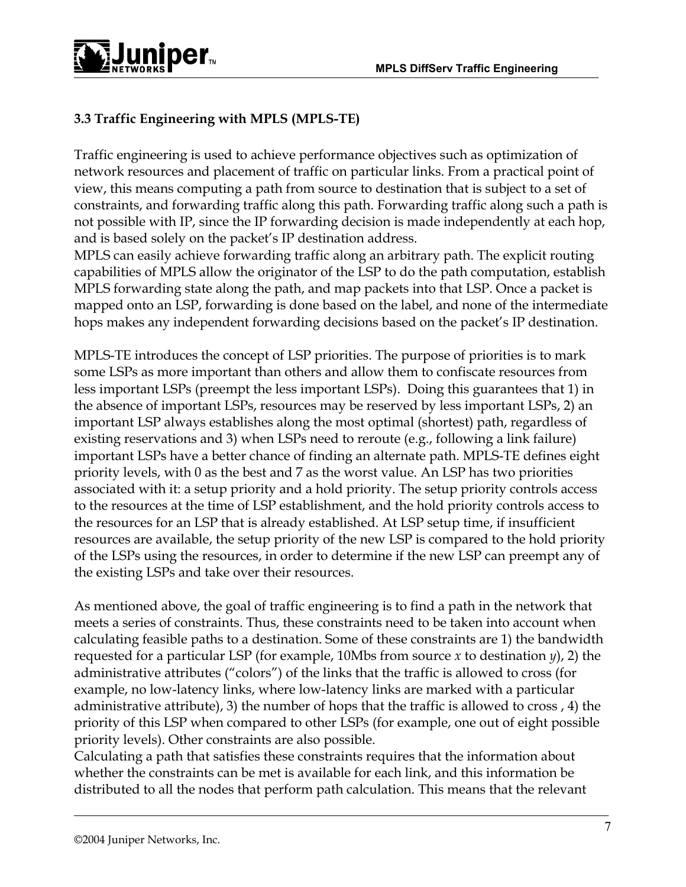

## **3.3 Traffic Engineering with MPLS (MPLS-TE)**

Traffic engineering is used to achieve performance objectives such as optimization of network resources and placement of traffic on particular links. From a practical point of view, this means computing a path from source to destination that is subject to a set of constraints, and forwarding traffic along this path. Forwarding traffic along such a path is not possible with IP, since the IP forwarding decision is made independently at each hop, and is based solely on the packet's IP destination address.

MPLS can easily achieve forwarding traffic along an arbitrary path. The explicit routing capabilities of MPLS allow the originator of the LSP to do the path computation, establish MPLS forwarding state along the path, and map packets into that LSP. Once a packet is mapped onto an LSP, forwarding is done based on the label, and none of the intermediate hops makes any independent forwarding decisions based on the packet's IP destination.

MPLS-TE introduces the concept of LSP priorities. The purpose of priorities is to mark some LSPs as more important than others and allow them to confiscate resources from less important LSPs (preempt the less important LSPs). Doing this guarantees that 1) in the absence of important LSPs, resources may be reserved by less important LSPs, 2) an important LSP always establishes along the most optimal (shortest) path, regardless of existing reservations and 3) when LSPs need to reroute (e.g., following a link failure) important LSPs have a better chance of finding an alternate path. MPLS-TE defines eight priority levels, with 0 as the best and 7 as the worst value. An LSP has two priorities associated with it: a setup priority and a hold priority. The setup priority controls access to the resources at the time of LSP establishment, and the hold priority controls access to the resources for an LSP that is already established. At LSP setup time, if insufficient resources are available, the setup priority of the new LSP is compared to the hold priority of the LSPs using the resources, in order to determine if the new LSP can preempt any of the existing LSPs and take over their resources.

As mentioned above, the goal of traffic engineering is to find a path in the network that meets a series of constraints. Thus, these constraints need to be taken into account when calculating feasible paths to a destination. Some of these constraints are 1) the bandwidth requested for a particular LSP (for example, 10Mbs from source *x* to destination *y*), 2) the administrative attributes ("colors") of the links that the traffic is allowed to cross (for example, no low-latency links, where low-latency links are marked with a particular administrative attribute), 3) the number of hops that the traffic is allowed to cross , 4) the priority of this LSP when compared to other LSPs (for example, one out of eight possible priority levels). Other constraints are also possible.

Calculating a path that satisfies these constraints requires that the information about whether the constraints can be met is available for each link, and this information be distributed to all the nodes that perform path calculation. This means that the relevant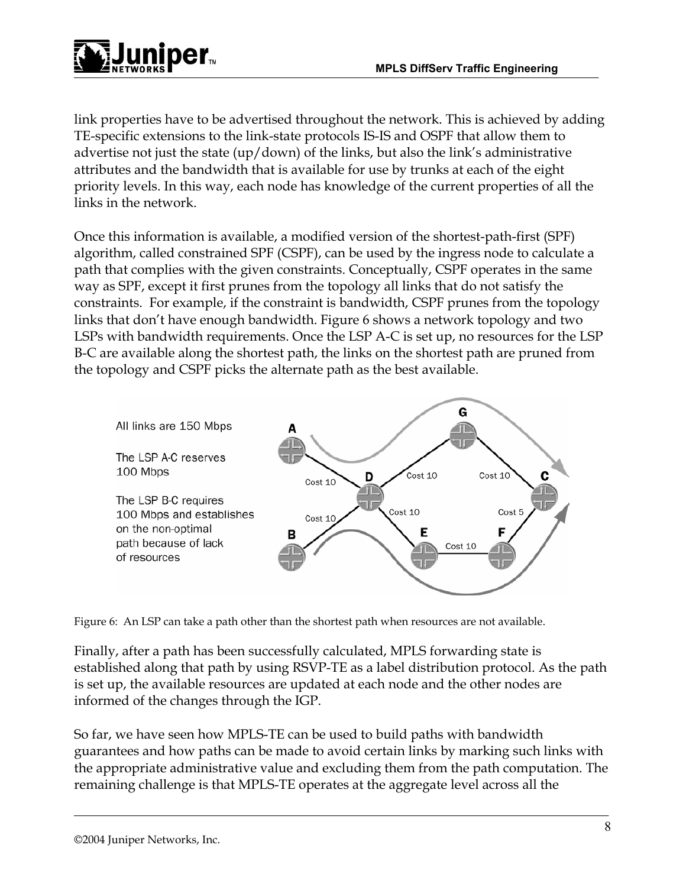

link properties have to be advertised throughout the network. This is achieved by adding TE-specific extensions to the link-state protocols IS-IS and OSPF that allow them to advertise not just the state (up/down) of the links, but also the link's administrative attributes and the bandwidth that is available for use by trunks at each of the eight priority levels. In this way, each node has knowledge of the current properties of all the links in the network.

Once this information is available, a modified version of the shortest-path-first (SPF) algorithm, called constrained SPF (CSPF), can be used by the ingress node to calculate a path that complies with the given constraints. Conceptually, CSPF operates in the same way as SPF, except it first prunes from the topology all links that do not satisfy the constraints. For example, if the constraint is bandwidth, CSPF prunes from the topology links that don't have enough bandwidth. Figure 6 shows a network topology and two LSPs with bandwidth requirements. Once the LSP A-C is set up, no resources for the LSP B-C are available along the shortest path, the links on the shortest path are pruned from the topology and CSPF picks the alternate path as the best available.



Figure 6: An LSP can take a path other than the shortest path when resources are not available.

Finally, after a path has been successfully calculated, MPLS forwarding state is established along that path by using RSVP-TE as a label distribution protocol. As the path is set up, the available resources are updated at each node and the other nodes are informed of the changes through the IGP.

So far, we have seen how MPLS-TE can be used to build paths with bandwidth guarantees and how paths can be made to avoid certain links by marking such links with the appropriate administrative value and excluding them from the path computation. The remaining challenge is that MPLS-TE operates at the aggregate level across all the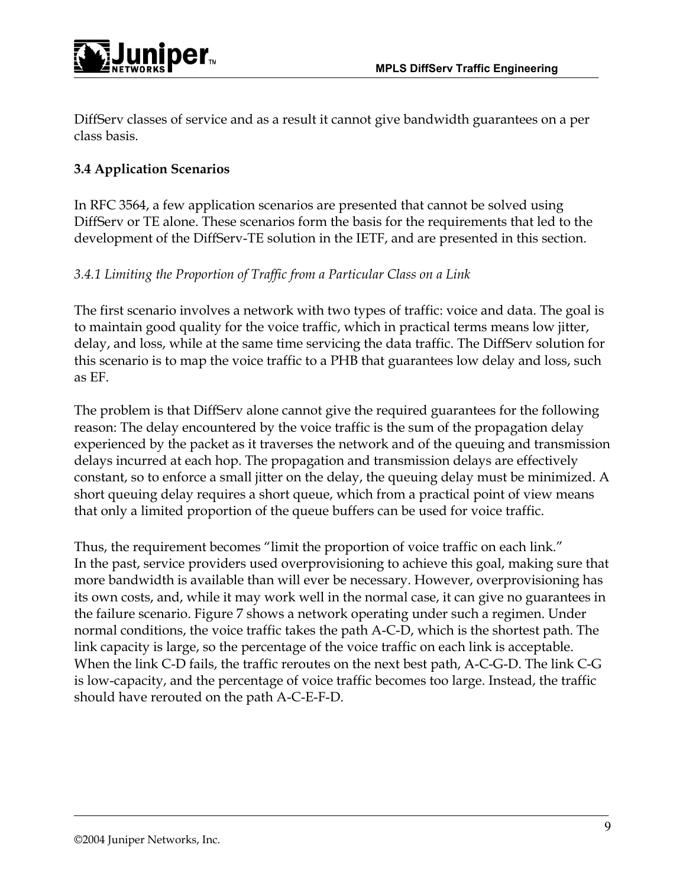

DiffServ classes of service and as a result it cannot give bandwidth guarantees on a per class basis.

## **3.4 Application Scenarios**

In RFC 3564, a few application scenarios are presented that cannot be solved using DiffServ or TE alone. These scenarios form the basis for the requirements that led to the development of the DiffServ-TE solution in the IETF, and are presented in this section.

## *3.4.1 Limiting the Proportion of Traffic from a Particular Class on a Link*

The first scenario involves a network with two types of traffic: voice and data. The goal is to maintain good quality for the voice traffic, which in practical terms means low jitter, delay, and loss, while at the same time servicing the data traffic. The DiffServ solution for this scenario is to map the voice traffic to a PHB that guarantees low delay and loss, such as EF.

The problem is that DiffServ alone cannot give the required guarantees for the following reason: The delay encountered by the voice traffic is the sum of the propagation delay experienced by the packet as it traverses the network and of the queuing and transmission delays incurred at each hop. The propagation and transmission delays are effectively constant, so to enforce a small jitter on the delay, the queuing delay must be minimized. A short queuing delay requires a short queue, which from a practical point of view means that only a limited proportion of the queue buffers can be used for voice traffic.

Thus, the requirement becomes "limit the proportion of voice traffic on each link." In the past, service providers used overprovisioning to achieve this goal, making sure that more bandwidth is available than will ever be necessary. However, overprovisioning has its own costs, and, while it may work well in the normal case, it can give no guarantees in the failure scenario. Figure 7 shows a network operating under such a regimen. Under normal conditions, the voice traffic takes the path A-C-D, which is the shortest path. The link capacity is large, so the percentage of the voice traffic on each link is acceptable. When the link C-D fails, the traffic reroutes on the next best path, A-C-G-D. The link C-G is low-capacity, and the percentage of voice traffic becomes too large. Instead, the traffic should have rerouted on the path A-C-E-F-D.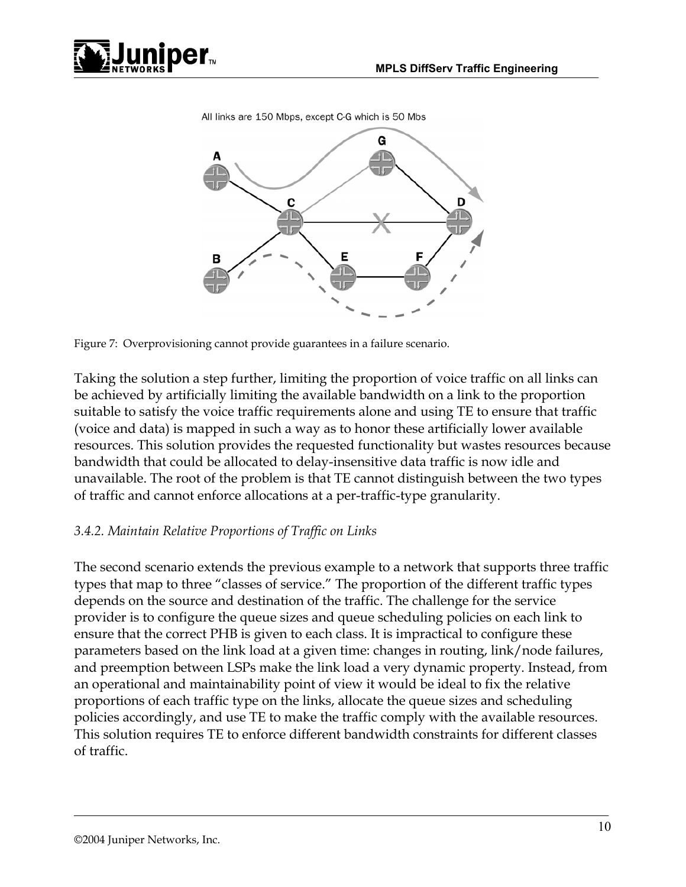







Figure 7: Overprovisioning cannot provide guarantees in a failure scenario.

Taking the solution a step further, limiting the proportion of voice traffic on all links can be achieved by artificially limiting the available bandwidth on a link to the proportion suitable to satisfy the voice traffic requirements alone and using TE to ensure that traffic (voice and data) is mapped in such a way as to honor these artificially lower available resources. This solution provides the requested functionality but wastes resources because bandwidth that could be allocated to delay-insensitive data traffic is now idle and unavailable. The root of the problem is that TE cannot distinguish between the two types of traffic and cannot enforce allocations at a per-traffic-type granularity.

#### *3.4.2. Maintain Relative Proportions of Traffic on Links*

The second scenario extends the previous example to a network that supports three traffic types that map to three "classes of service." The proportion of the different traffic types depends on the source and destination of the traffic. The challenge for the service provider is to configure the queue sizes and queue scheduling policies on each link to ensure that the correct PHB is given to each class. It is impractical to configure these parameters based on the link load at a given time: changes in routing, link/node failures, and preemption between LSPs make the link load a very dynamic property. Instead, from an operational and maintainability point of view it would be ideal to fix the relative proportions of each traffic type on the links, allocate the queue sizes and scheduling policies accordingly, and use TE to make the traffic comply with the available resources. This solution requires TE to enforce different bandwidth constraints for different classes of traffic.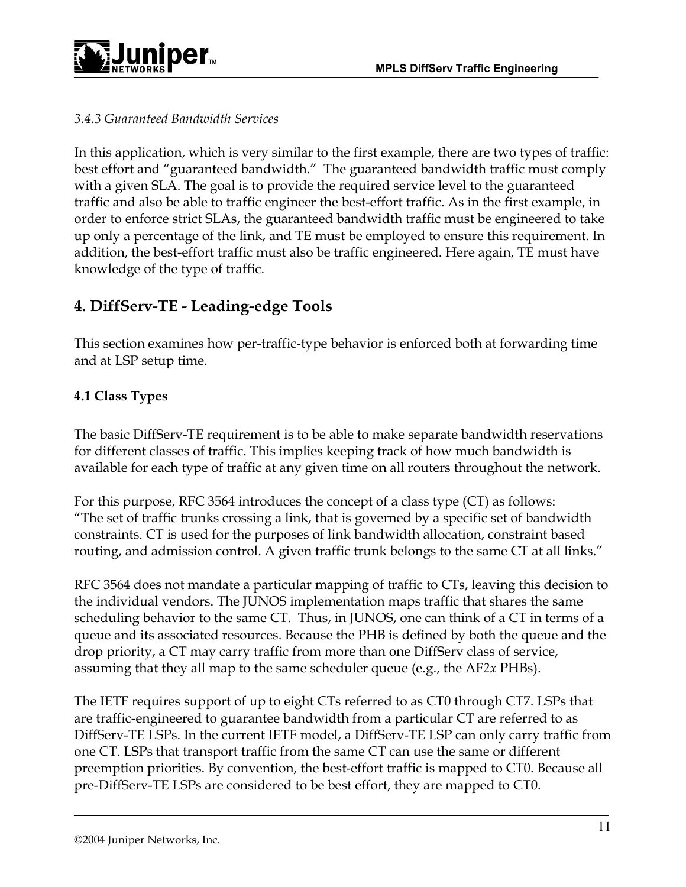

### *3.4.3 Guaranteed Bandwidth Services*

In this application, which is very similar to the first example, there are two types of traffic: best effort and "guaranteed bandwidth." The guaranteed bandwidth traffic must comply with a given SLA. The goal is to provide the required service level to the guaranteed traffic and also be able to traffic engineer the best-effort traffic. As in the first example, in order to enforce strict SLAs, the guaranteed bandwidth traffic must be engineered to take up only a percentage of the link, and TE must be employed to ensure this requirement. In addition, the best-effort traffic must also be traffic engineered. Here again, TE must have knowledge of the type of traffic.

# **4. DiffServ-TE - Leading-edge Tools**

This section examines how per-traffic-type behavior is enforced both at forwarding time and at LSP setup time.

### **4.1 Class Types**

The basic DiffServ-TE requirement is to be able to make separate bandwidth reservations for different classes of traffic. This implies keeping track of how much bandwidth is available for each type of traffic at any given time on all routers throughout the network.

For this purpose, RFC 3564 introduces the concept of a class type (CT) as follows: "The set of traffic trunks crossing a link, that is governed by a specific set of bandwidth constraints. CT is used for the purposes of link bandwidth allocation, constraint based routing, and admission control. A given traffic trunk belongs to the same CT at all links."

RFC 3564 does not mandate a particular mapping of traffic to CTs, leaving this decision to the individual vendors. The JUNOS implementation maps traffic that shares the same scheduling behavior to the same CT. Thus, in JUNOS, one can think of a CT in terms of a queue and its associated resources. Because the PHB is defined by both the queue and the drop priority, a CT may carry traffic from more than one DiffServ class of service, assuming that they all map to the same scheduler queue (e.g., the AF*2x* PHBs).

The IETF requires support of up to eight CTs referred to as CT0 through CT7. LSPs that are traffic-engineered to guarantee bandwidth from a particular CT are referred to as DiffServ-TE LSPs. In the current IETF model, a DiffServ-TE LSP can only carry traffic from one CT. LSPs that transport traffic from the same CT can use the same or different preemption priorities. By convention, the best-effort traffic is mapped to CT0. Because all pre-DiffServ-TE LSPs are considered to be best effort, they are mapped to CT0.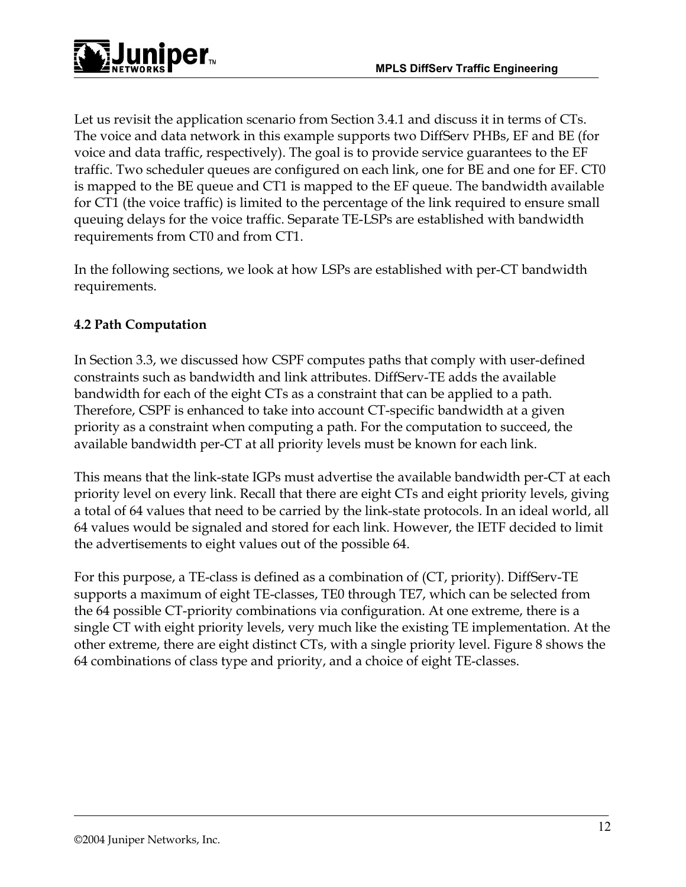Let us revisit the application scenario from Section 3.4.1 and discuss it in terms of CTs. The voice and data network in this example supports two DiffServ PHBs, EF and BE (for voice and data traffic, respectively). The goal is to provide service guarantees to the EF traffic. Two scheduler queues are configured on each link, one for BE and one for EF. CT0 is mapped to the BE queue and CT1 is mapped to the EF queue. The bandwidth available for CT1 (the voice traffic) is limited to the percentage of the link required to ensure small queuing delays for the voice traffic. Separate TE-LSPs are established with bandwidth requirements from CT0 and from CT1.

In the following sections, we look at how LSPs are established with per-CT bandwidth requirements.

## **4.2 Path Computation**

In Section 3.3, we discussed how CSPF computes paths that comply with user-defined constraints such as bandwidth and link attributes. DiffServ-TE adds the available bandwidth for each of the eight CTs as a constraint that can be applied to a path. Therefore, CSPF is enhanced to take into account CT-specific bandwidth at a given priority as a constraint when computing a path. For the computation to succeed, the available bandwidth per-CT at all priority levels must be known for each link.

This means that the link-state IGPs must advertise the available bandwidth per-CT at each priority level on every link. Recall that there are eight CTs and eight priority levels, giving a total of 64 values that need to be carried by the link-state protocols. In an ideal world, all 64 values would be signaled and stored for each link. However, the IETF decided to limit the advertisements to eight values out of the possible 64.

For this purpose, a TE-class is defined as a combination of (CT, priority). DiffServ-TE supports a maximum of eight TE-classes, TE0 through TE7, which can be selected from the 64 possible CT-priority combinations via configuration. At one extreme, there is a single CT with eight priority levels, very much like the existing TE implementation. At the other extreme, there are eight distinct CTs, with a single priority level. Figure 8 shows the 64 combinations of class type and priority, and a choice of eight TE-classes.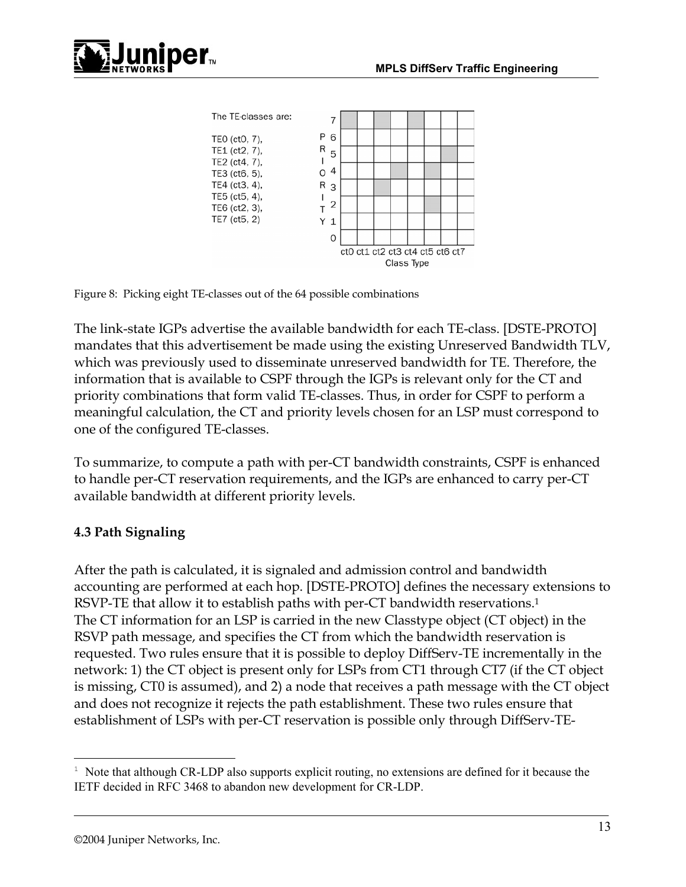



Figure 8: Picking eight TE-classes out of the 64 possible combinations

The link-state IGPs advertise the available bandwidth for each TE-class. [DSTE-PROTO] mandates that this advertisement be made using the existing Unreserved Bandwidth TLV, which was previously used to disseminate unreserved bandwidth for TE. Therefore, the information that is available to CSPF through the IGPs is relevant only for the CT and priority combinations that form valid TE-classes. Thus, in order for CSPF to perform a meaningful calculation, the CT and priority levels chosen for an LSP must correspond to one of the configured TE-classes.

To summarize, to compute a path with per-CT bandwidth constraints, CSPF is enhanced to handle per-CT reservation requirements, and the IGPs are enhanced to carry per-CT available bandwidth at different priority levels.

#### **4.3 Path Signaling**

After the path is calculated, it is signaled and admission control and bandwidth accounting are performed at each hop. [DSTE-PROTO] defines the necessary extensions to RSVP-TE that allow it to establish paths with per-CT bandwidth reservations.<sup>1</sup> The CT information for an LSP is carried in the new Classtype object (CT object) in the RSVP path message, and specifies the CT from which the bandwidth reservation is requested. Two rules ensure that it is possible to deploy DiffServ-TE incrementally in the network: 1) the CT object is present only for LSPs from CT1 through CT7 (if the CT object is missing, CT0 is assumed), and 2) a node that receives a path message with the CT object and does not recognize it rejects the path establishment. These two rules ensure that establishment of LSPs with per-CT reservation is possible only through DiffServ-TE-

<u>.</u>

 $1$  Note that although CR-LDP also supports explicit routing, no extensions are defined for it because the IETF decided in RFC 3468 to abandon new development for CR-LDP.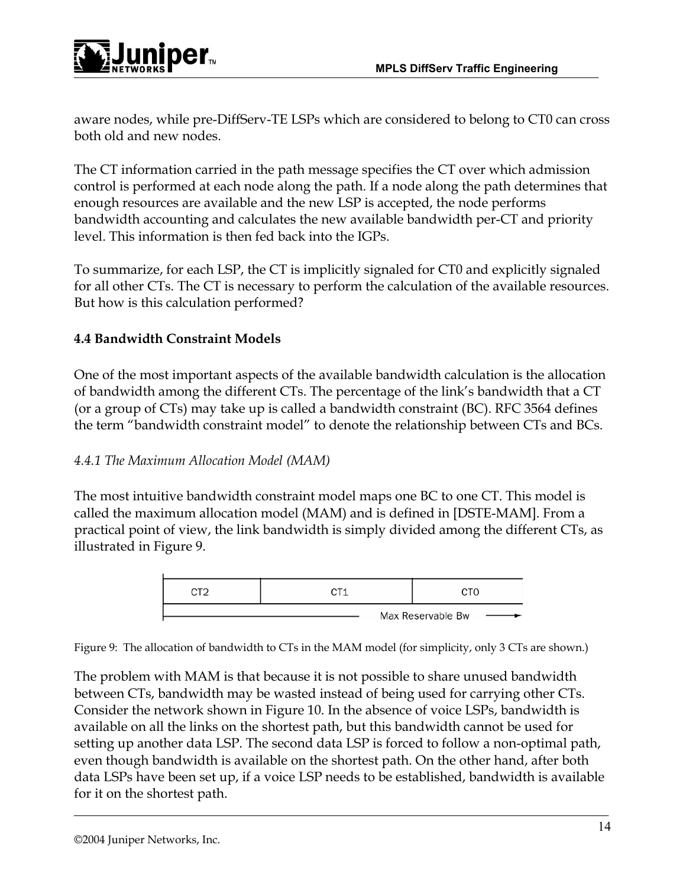

aware nodes, while pre-DiffServ-TE LSPs which are considered to belong to CT0 can cross both old and new nodes.

The CT information carried in the path message specifies the CT over which admission control is performed at each node along the path. If a node along the path determines that enough resources are available and the new LSP is accepted, the node performs bandwidth accounting and calculates the new available bandwidth per-CT and priority level. This information is then fed back into the IGPs.

To summarize, for each LSP, the CT is implicitly signaled for CT0 and explicitly signaled for all other CTs. The CT is necessary to perform the calculation of the available resources. But how is this calculation performed?

## **4.4 Bandwidth Constraint Models**

One of the most important aspects of the available bandwidth calculation is the allocation of bandwidth among the different CTs. The percentage of the link's bandwidth that a CT (or a group of CTs) may take up is called a bandwidth constraint (BC). RFC 3564 defines the term "bandwidth constraint model" to denote the relationship between CTs and BCs.

### *4.4.1 The Maximum Allocation Model (MAM)*

The most intuitive bandwidth constraint model maps one BC to one CT. This model is called the maximum allocation model (MAM) and is defined in [DSTE-MAM]. From a practical point of view, the link bandwidth is simply divided among the different CTs, as illustrated in Figure 9.



Figure 9: The allocation of bandwidth to CTs in the MAM model (for simplicity, only 3 CTs are shown.)

The problem with MAM is that because it is not possible to share unused bandwidth between CTs, bandwidth may be wasted instead of being used for carrying other CTs. Consider the network shown in Figure 10. In the absence of voice LSPs, bandwidth is available on all the links on the shortest path, but this bandwidth cannot be used for setting up another data LSP. The second data LSP is forced to follow a non-optimal path, even though bandwidth is available on the shortest path. On the other hand, after both data LSPs have been set up, if a voice LSP needs to be established, bandwidth is available for it on the shortest path.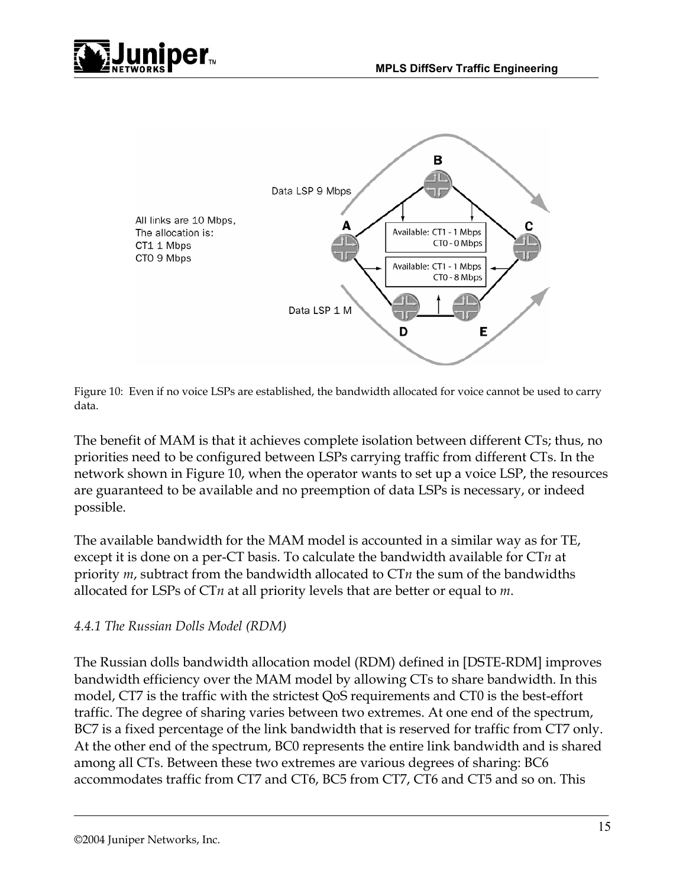



Figure 10: Even if no voice LSPs are established, the bandwidth allocated for voice cannot be used to carry data.

The benefit of MAM is that it achieves complete isolation between different CTs; thus, no priorities need to be configured between LSPs carrying traffic from different CTs. In the network shown in Figure 10, when the operator wants to set up a voice LSP, the resources are guaranteed to be available and no preemption of data LSPs is necessary, or indeed possible.

The available bandwidth for the MAM model is accounted in a similar way as for TE, except it is done on a per-CT basis. To calculate the bandwidth available for CT*n* at priority *m*, subtract from the bandwidth allocated to CT*n* the sum of the bandwidths allocated for LSPs of CT*n* at all priority levels that are better or equal to *m*.

#### *4.4.1 The Russian Dolls Model (RDM)*

The Russian dolls bandwidth allocation model (RDM) defined in [DSTE-RDM] improves bandwidth efficiency over the MAM model by allowing CTs to share bandwidth. In this model, CT7 is the traffic with the strictest QoS requirements and CT0 is the best-effort traffic. The degree of sharing varies between two extremes. At one end of the spectrum, BC7 is a fixed percentage of the link bandwidth that is reserved for traffic from CT7 only. At the other end of the spectrum, BC0 represents the entire link bandwidth and is shared among all CTs. Between these two extremes are various degrees of sharing: BC6 accommodates traffic from CT7 and CT6, BC5 from CT7, CT6 and CT5 and so on. This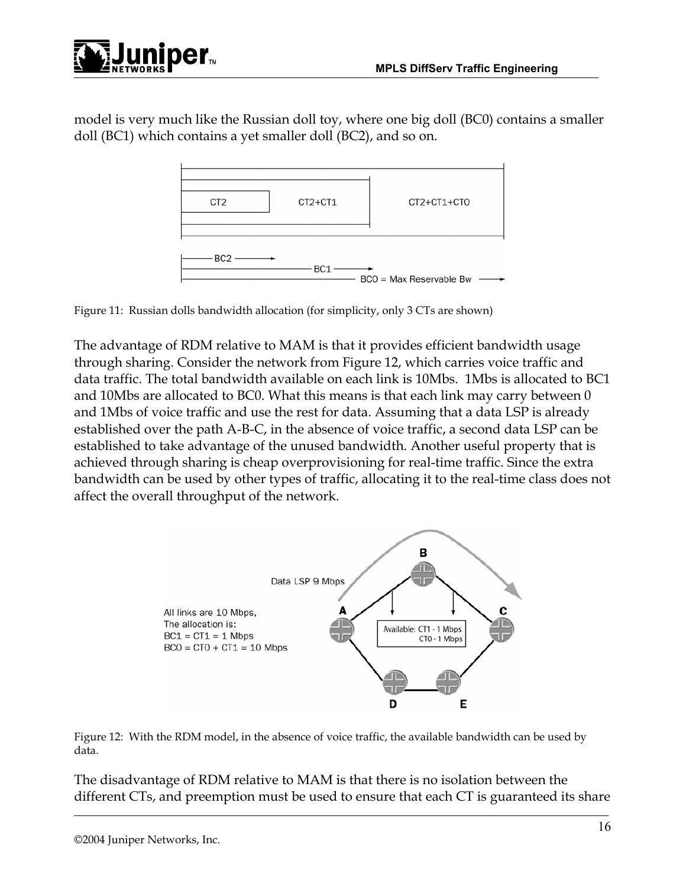

model is very much like the Russian doll toy, where one big doll (BC0) contains a smaller doll (BC1) which contains a yet smaller doll (BC2), and so on.



Figure 11: Russian dolls bandwidth allocation (for simplicity, only 3 CTs are shown)

The advantage of RDM relative to MAM is that it provides efficient bandwidth usage through sharing. Consider the network from Figure 12, which carries voice traffic and data traffic. The total bandwidth available on each link is 10Mbs. 1Mbs is allocated to BC1 and 10Mbs are allocated to BC0. What this means is that each link may carry between 0 and 1Mbs of voice traffic and use the rest for data. Assuming that a data LSP is already established over the path A-B-C, in the absence of voice traffic, a second data LSP can be established to take advantage of the unused bandwidth. Another useful property that is achieved through sharing is cheap overprovisioning for real-time traffic. Since the extra bandwidth can be used by other types of traffic, allocating it to the real-time class does not affect the overall throughput of the network.



Figure 12: With the RDM model, in the absence of voice traffic, the available bandwidth can be used by data.

The disadvantage of RDM relative to MAM is that there is no isolation between the different CTs, and preemption must be used to ensure that each CT is guaranteed its share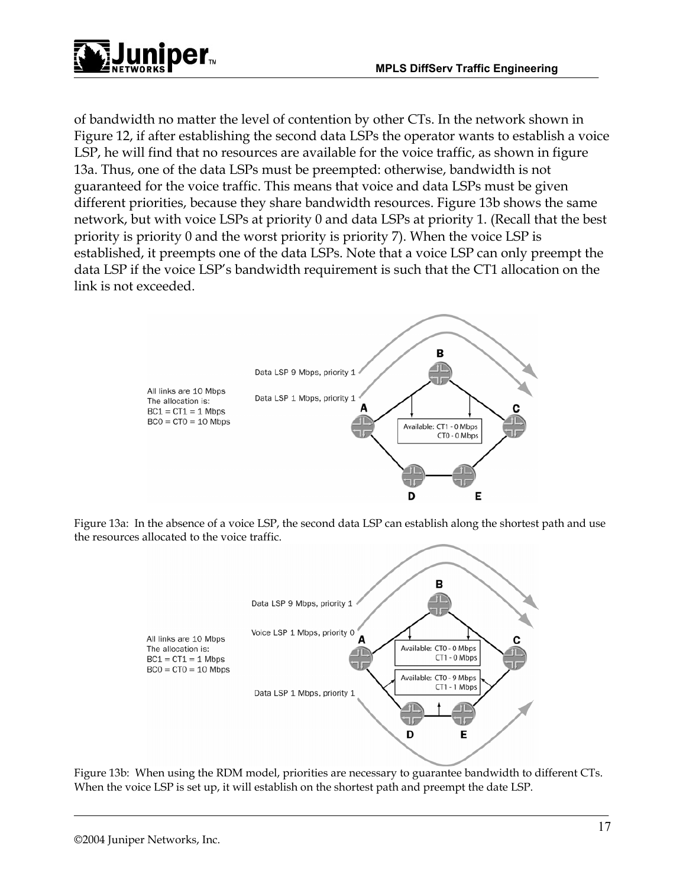

of bandwidth no matter the level of contention by other CTs. In the network shown in Figure 12, if after establishing the second data LSPs the operator wants to establish a voice LSP, he will find that no resources are available for the voice traffic, as shown in figure 13a. Thus, one of the data LSPs must be preempted: otherwise, bandwidth is not guaranteed for the voice traffic. This means that voice and data LSPs must be given different priorities, because they share bandwidth resources. Figure 13b shows the same network, but with voice LSPs at priority 0 and data LSPs at priority 1. (Recall that the best priority is priority 0 and the worst priority is priority 7). When the voice LSP is established, it preempts one of the data LSPs. Note that a voice LSP can only preempt the data LSP if the voice LSP's bandwidth requirement is such that the CT1 allocation on the link is not exceeded.



Figure 13a: In the absence of a voice LSP, the second data LSP can establish along the shortest path and use the resources allocated to the voice traffic.



Figure 13b: When using the RDM model, priorities are necessary to guarantee bandwidth to different CTs. When the voice LSP is set up, it will establish on the shortest path and preempt the date LSP.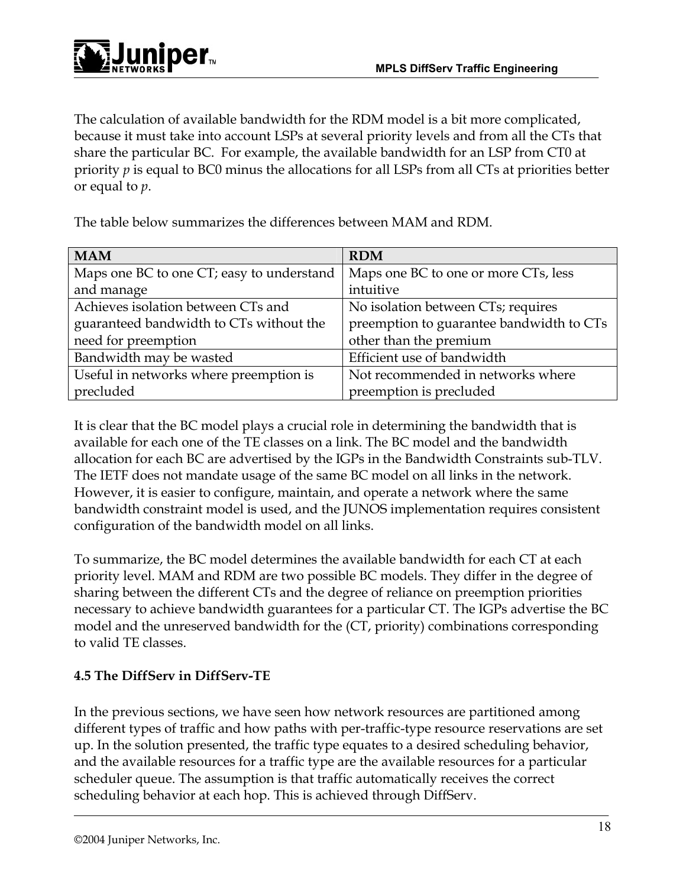The calculation of available bandwidth for the RDM model is a bit more complicated, because it must take into account LSPs at several priority levels and from all the CTs that share the particular BC. For example, the available bandwidth for an LSP from CT0 at priority *p* is equal to BC0 minus the allocations for all LSPs from all CTs at priorities better or equal to *p*.

The table below summarizes the differences between MAM and RDM.

| <b>MAM</b>                                | <b>RDM</b>                               |
|-------------------------------------------|------------------------------------------|
| Maps one BC to one CT; easy to understand | Maps one BC to one or more CTs, less     |
| and manage                                | intuitive                                |
| Achieves isolation between CTs and        | No isolation between CTs; requires       |
| guaranteed bandwidth to CTs without the   | preemption to guarantee bandwidth to CTs |
| need for preemption                       | other than the premium                   |
| Bandwidth may be wasted                   | Efficient use of bandwidth               |
| Useful in networks where preemption is    | Not recommended in networks where        |
| precluded                                 | preemption is precluded                  |

It is clear that the BC model plays a crucial role in determining the bandwidth that is available for each one of the TE classes on a link. The BC model and the bandwidth allocation for each BC are advertised by the IGPs in the Bandwidth Constraints sub-TLV. The IETF does not mandate usage of the same BC model on all links in the network. However, it is easier to configure, maintain, and operate a network where the same bandwidth constraint model is used, and the JUNOS implementation requires consistent configuration of the bandwidth model on all links.

To summarize, the BC model determines the available bandwidth for each CT at each priority level. MAM and RDM are two possible BC models. They differ in the degree of sharing between the different CTs and the degree of reliance on preemption priorities necessary to achieve bandwidth guarantees for a particular CT. The IGPs advertise the BC model and the unreserved bandwidth for the (CT, priority) combinations corresponding to valid TE classes.

## **4.5 The DiffServ in DiffServ-TE**

In the previous sections, we have seen how network resources are partitioned among different types of traffic and how paths with per-traffic-type resource reservations are set up. In the solution presented, the traffic type equates to a desired scheduling behavior, and the available resources for a traffic type are the available resources for a particular scheduler queue. The assumption is that traffic automatically receives the correct scheduling behavior at each hop. This is achieved through DiffServ.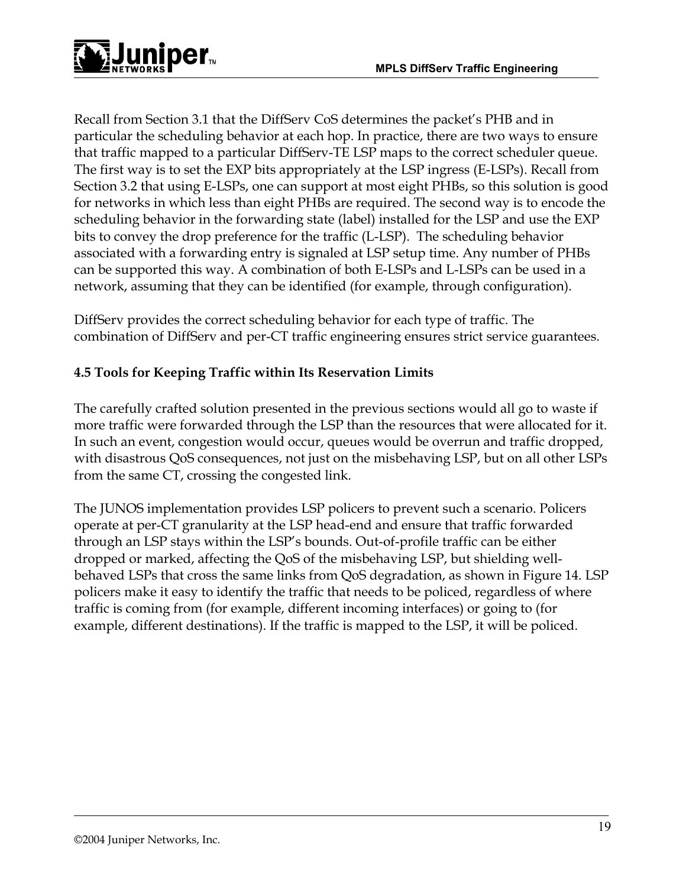

Recall from Section 3.1 that the DiffServ CoS determines the packet's PHB and in particular the scheduling behavior at each hop. In practice, there are two ways to ensure that traffic mapped to a particular DiffServ-TE LSP maps to the correct scheduler queue. The first way is to set the EXP bits appropriately at the LSP ingress (E-LSPs). Recall from Section 3.2 that using E-LSPs, one can support at most eight PHBs, so this solution is good for networks in which less than eight PHBs are required. The second way is to encode the scheduling behavior in the forwarding state (label) installed for the LSP and use the EXP bits to convey the drop preference for the traffic (L-LSP). The scheduling behavior associated with a forwarding entry is signaled at LSP setup time. Any number of PHBs can be supported this way. A combination of both E-LSPs and L-LSPs can be used in a network, assuming that they can be identified (for example, through configuration).

DiffServ provides the correct scheduling behavior for each type of traffic. The combination of DiffServ and per-CT traffic engineering ensures strict service guarantees.

## **4.5 Tools for Keeping Traffic within Its Reservation Limits**

The carefully crafted solution presented in the previous sections would all go to waste if more traffic were forwarded through the LSP than the resources that were allocated for it. In such an event, congestion would occur, queues would be overrun and traffic dropped, with disastrous QoS consequences, not just on the misbehaving LSP, but on all other LSPs from the same CT, crossing the congested link.

The JUNOS implementation provides LSP policers to prevent such a scenario. Policers operate at per-CT granularity at the LSP head-end and ensure that traffic forwarded through an LSP stays within the LSP's bounds. Out-of-profile traffic can be either dropped or marked, affecting the QoS of the misbehaving LSP, but shielding wellbehaved LSPs that cross the same links from QoS degradation, as shown in Figure 14. LSP policers make it easy to identify the traffic that needs to be policed, regardless of where traffic is coming from (for example, different incoming interfaces) or going to (for example, different destinations). If the traffic is mapped to the LSP, it will be policed.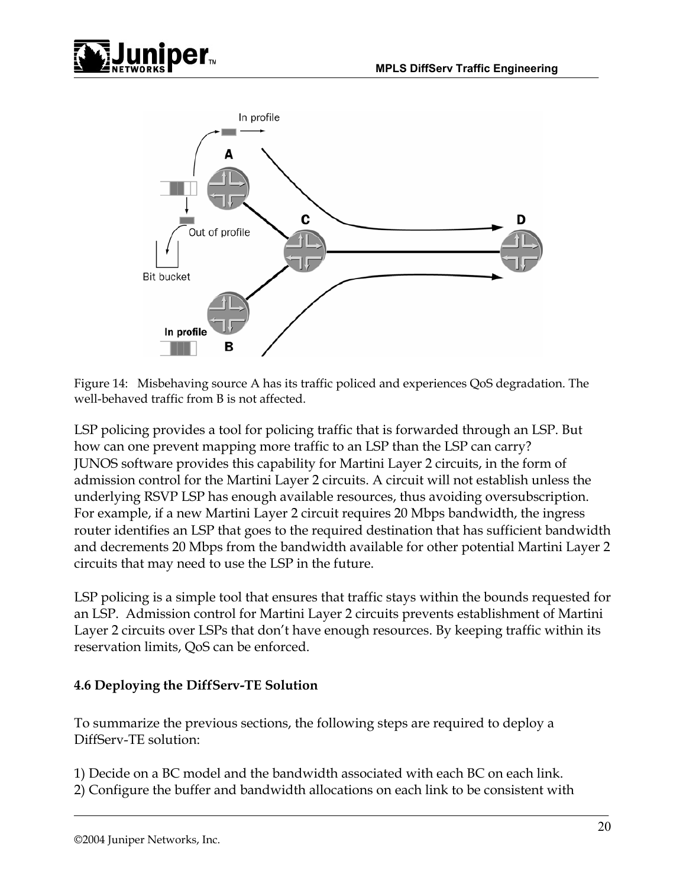



Figure 14: Misbehaving source A has its traffic policed and experiences QoS degradation. The well-behaved traffic from B is not affected.

LSP policing provides a tool for policing traffic that is forwarded through an LSP. But how can one prevent mapping more traffic to an LSP than the LSP can carry? JUNOS software provides this capability for Martini Layer 2 circuits, in the form of admission control for the Martini Layer 2 circuits. A circuit will not establish unless the underlying RSVP LSP has enough available resources, thus avoiding oversubscription. For example, if a new Martini Layer 2 circuit requires 20 Mbps bandwidth, the ingress router identifies an LSP that goes to the required destination that has sufficient bandwidth and decrements 20 Mbps from the bandwidth available for other potential Martini Layer 2 circuits that may need to use the LSP in the future.

LSP policing is a simple tool that ensures that traffic stays within the bounds requested for an LSP. Admission control for Martini Layer 2 circuits prevents establishment of Martini Layer 2 circuits over LSPs that don't have enough resources. By keeping traffic within its reservation limits, QoS can be enforced.

### **4.6 Deploying the DiffServ-TE Solution**

To summarize the previous sections, the following steps are required to deploy a DiffServ-TE solution:

1) Decide on a BC model and the bandwidth associated with each BC on each link. 2) Configure the buffer and bandwidth allocations on each link to be consistent with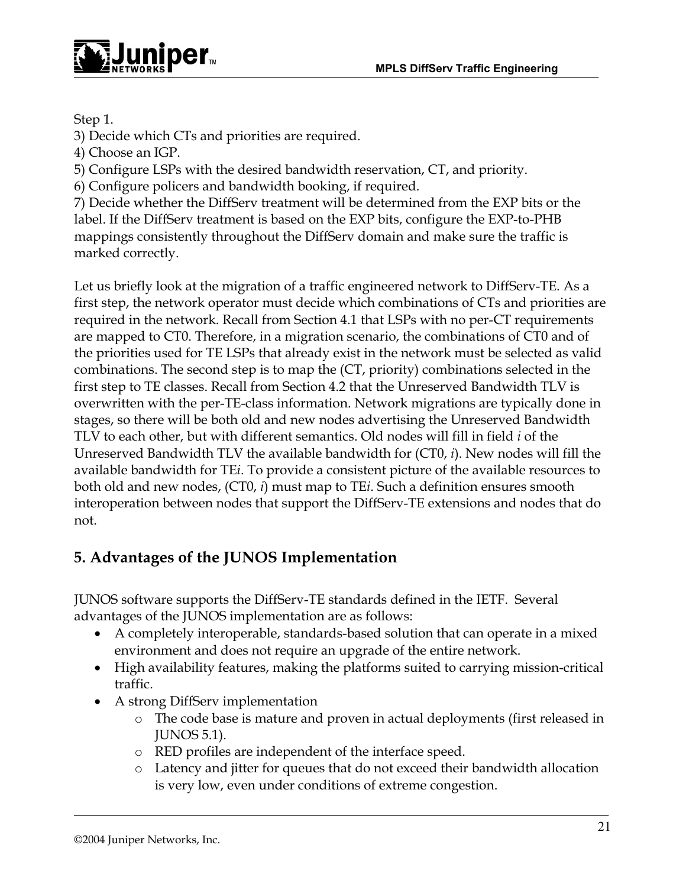

Step 1.

3) Decide which CTs and priorities are required.

4) Choose an IGP.

5) Configure LSPs with the desired bandwidth reservation, CT, and priority.

6) Configure policers and bandwidth booking, if required.

7) Decide whether the DiffServ treatment will be determined from the EXP bits or the label. If the DiffServ treatment is based on the EXP bits, configure the EXP-to-PHB mappings consistently throughout the DiffServ domain and make sure the traffic is marked correctly.

Let us briefly look at the migration of a traffic engineered network to DiffServ-TE. As a first step, the network operator must decide which combinations of CTs and priorities are required in the network. Recall from Section 4.1 that LSPs with no per-CT requirements are mapped to CT0. Therefore, in a migration scenario, the combinations of CT0 and of the priorities used for TE LSPs that already exist in the network must be selected as valid combinations. The second step is to map the (CT, priority) combinations selected in the first step to TE classes. Recall from Section 4.2 that the Unreserved Bandwidth TLV is overwritten with the per-TE-class information. Network migrations are typically done in stages, so there will be both old and new nodes advertising the Unreserved Bandwidth TLV to each other, but with different semantics. Old nodes will fill in field *i* of the Unreserved Bandwidth TLV the available bandwidth for (CT0, *i*). New nodes will fill the available bandwidth for TE*i*. To provide a consistent picture of the available resources to both old and new nodes, (CT0, *i*) must map to TE*i*. Such a definition ensures smooth interoperation between nodes that support the DiffServ-TE extensions and nodes that do not.

# **5. Advantages of the JUNOS Implementation**

JUNOS software supports the DiffServ-TE standards defined in the IETF. Several advantages of the JUNOS implementation are as follows:

- A completely interoperable, standards-based solution that can operate in a mixed environment and does not require an upgrade of the entire network.
- High availability features, making the platforms suited to carrying mission-critical traffic.
- A strong DiffServ implementation
	- o The code base is mature and proven in actual deployments (first released in JUNOS 5.1).
	- o RED profiles are independent of the interface speed.
	- o Latency and jitter for queues that do not exceed their bandwidth allocation is very low, even under conditions of extreme congestion.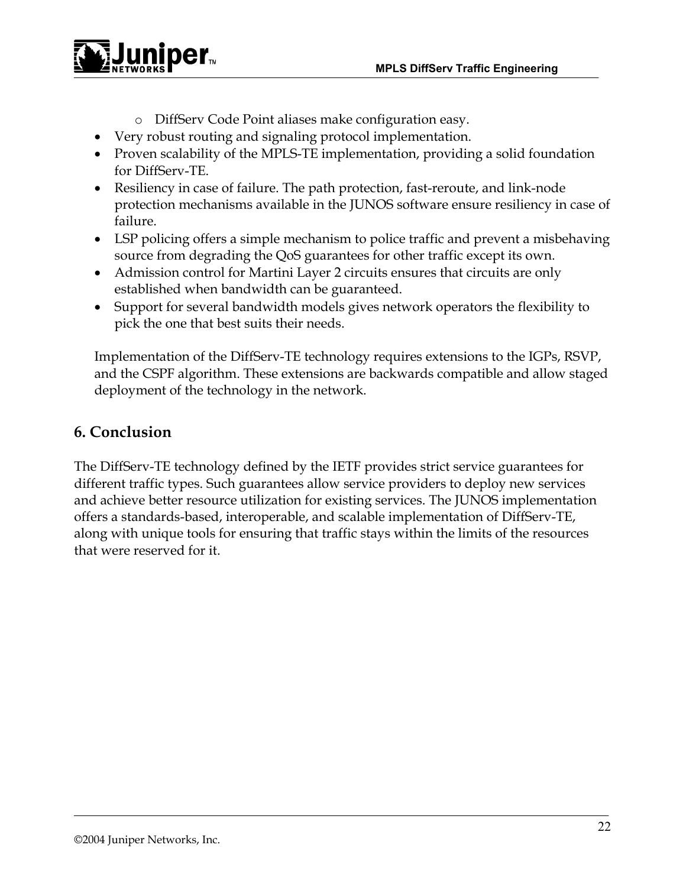

- o DiffServ Code Point aliases make configuration easy.
- Very robust routing and signaling protocol implementation.
- Proven scalability of the MPLS-TE implementation, providing a solid foundation for DiffServ-TE.
- Resiliency in case of failure. The path protection, fast-reroute, and link-node protection mechanisms available in the JUNOS software ensure resiliency in case of failure.
- LSP policing offers a simple mechanism to police traffic and prevent a misbehaving source from degrading the QoS guarantees for other traffic except its own.
- Admission control for Martini Layer 2 circuits ensures that circuits are only established when bandwidth can be guaranteed.
- Support for several bandwidth models gives network operators the flexibility to pick the one that best suits their needs.

Implementation of the DiffServ-TE technology requires extensions to the IGPs, RSVP, and the CSPF algorithm. These extensions are backwards compatible and allow staged deployment of the technology in the network.

## **6. Conclusion**

The DiffServ-TE technology defined by the IETF provides strict service guarantees for different traffic types. Such guarantees allow service providers to deploy new services and achieve better resource utilization for existing services. The JUNOS implementation offers a standards-based, interoperable, and scalable implementation of DiffServ-TE, along with unique tools for ensuring that traffic stays within the limits of the resources that were reserved for it.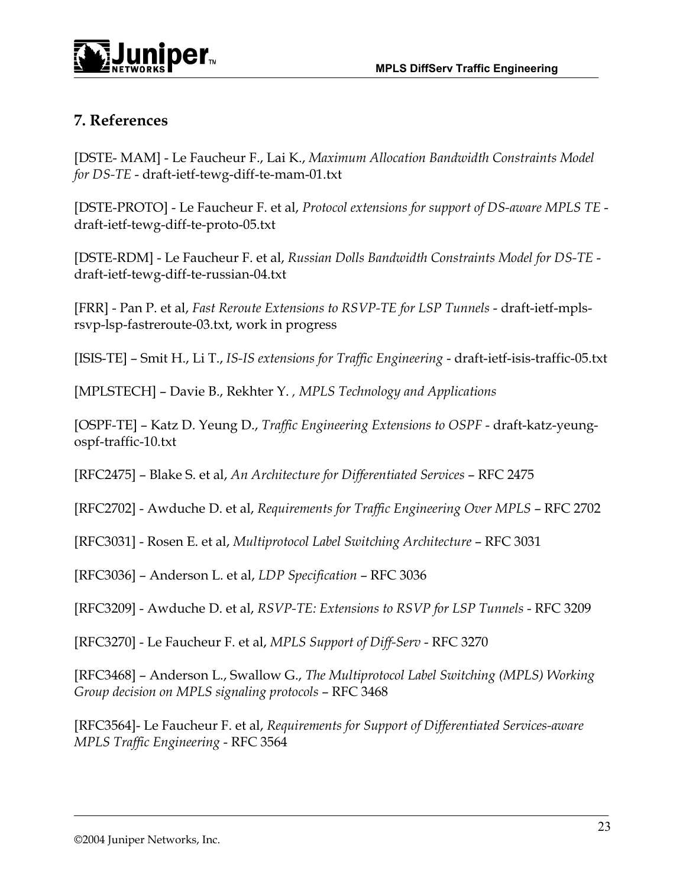

# **7. References**

[DSTE- MAM] - Le Faucheur F., Lai K., *Maximum Allocation Bandwidth Constraints Model for DS-TE* - draft-ietf-tewg-diff-te-mam-01.txt

[DSTE-PROTO] - Le Faucheur F. et al, *Protocol extensions for support of DS-aware MPLS TE* draft-ietf-tewg-diff-te-proto-05.txt

[DSTE-RDM] - Le Faucheur F. et al, *Russian Dolls Bandwidth Constraints Model for DS-TE* draft-ietf-tewg-diff-te-russian-04.txt

[FRR] - Pan P. et al, *Fast Reroute Extensions to RSVP-TE for LSP Tunnels* - draft-ietf-mplsrsvp-lsp-fastreroute-03.txt, work in progress

[ISIS-TE] – Smit H., Li T., *IS-IS extensions for Traffic Engineering* - draft-ietf-isis-traffic-05.txt

[MPLSTECH] – Davie B., Rekhter Y. *, MPLS Technology and Applications*

[OSPF-TE] – Katz D. Yeung D., *Traffic Engineering Extensions to OSPF* - draft-katz-yeungospf-traffic-10.txt

[RFC2475] – Blake S. et al, *An Architecture for Differentiated Services* – RFC 2475

[RFC2702] - Awduche D. et al, *Requirements for Traffic Engineering Over MPLS* - RFC 2702

[RFC3031] - Rosen E. et al, *Multiprotocol Label Switching Architecture* – RFC 3031

[RFC3036] – Anderson L. et al, *LDP Specification* – RFC 3036

[RFC3209] - Awduche D. et al, *RSVP-TE: Extensions to RSVP for LSP Tunnels* - RFC 3209

[RFC3270] - Le Faucheur F. et al, *MPLS Support of Diff-Serv* - RFC 3270

[RFC3468] – Anderson L., Swallow G., *The Multiprotocol Label Switching (MPLS) Working Group decision on MPLS signaling protocols* – RFC 3468

[RFC3564]- Le Faucheur F. et al, *Requirements for Support of Differentiated Services-aware MPLS Traffic Engineering* - RFC 3564